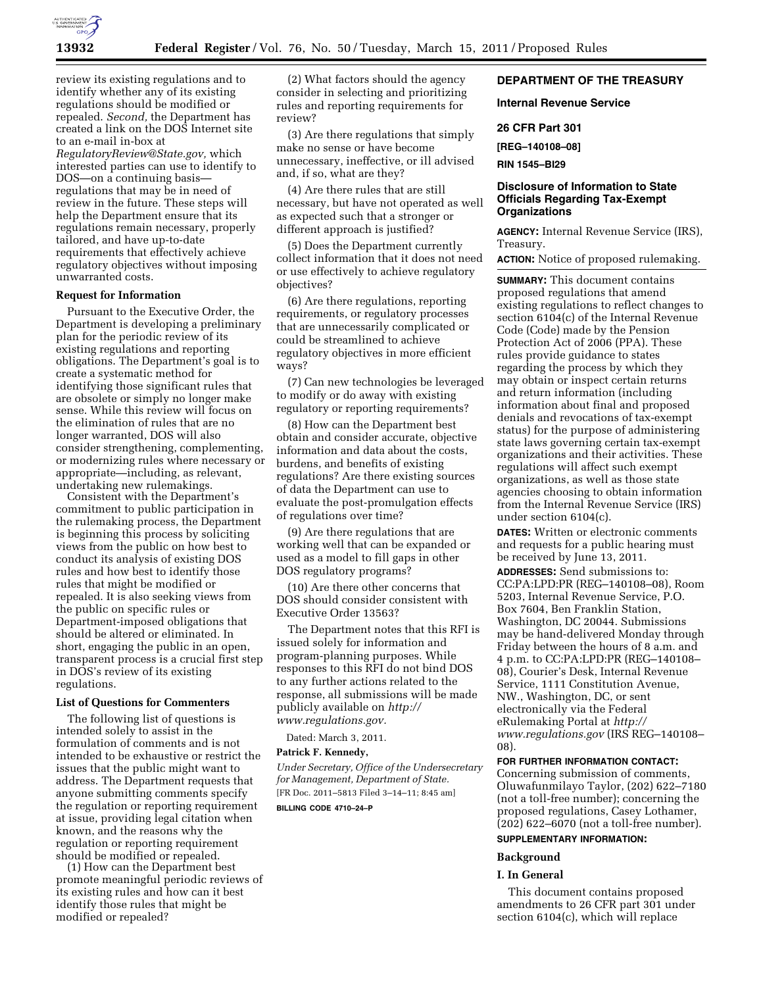

review its existing regulations and to identify whether any of its existing regulations should be modified or repealed. *Second,* the Department has created a link on the DOS Internet site to an e-mail in-box at *[RegulatoryReview@State.gov,](mailto:RegulatoryReview@State.gov)* which interested parties can use to identify to DOS—on a continuing basis regulations that may be in need of review in the future. These steps will help the Department ensure that its regulations remain necessary, properly tailored, and have up-to-date requirements that effectively achieve regulatory objectives without imposing unwarranted costs.

#### **Request for Information**

Pursuant to the Executive Order, the Department is developing a preliminary plan for the periodic review of its existing regulations and reporting obligations. The Department's goal is to create a systematic method for identifying those significant rules that are obsolete or simply no longer make sense. While this review will focus on the elimination of rules that are no longer warranted, DOS will also consider strengthening, complementing, or modernizing rules where necessary or appropriate—including, as relevant, undertaking new rulemakings.

Consistent with the Department's commitment to public participation in the rulemaking process, the Department is beginning this process by soliciting views from the public on how best to conduct its analysis of existing DOS rules and how best to identify those rules that might be modified or repealed. It is also seeking views from the public on specific rules or Department-imposed obligations that should be altered or eliminated. In short, engaging the public in an open, transparent process is a crucial first step in DOS's review of its existing regulations.

#### **List of Questions for Commenters**

The following list of questions is intended solely to assist in the formulation of comments and is not intended to be exhaustive or restrict the issues that the public might want to address. The Department requests that anyone submitting comments specify the regulation or reporting requirement at issue, providing legal citation when known, and the reasons why the regulation or reporting requirement should be modified or repealed.

(1) How can the Department best promote meaningful periodic reviews of its existing rules and how can it best identify those rules that might be modified or repealed?

(2) What factors should the agency consider in selecting and prioritizing rules and reporting requirements for review?

(3) Are there regulations that simply make no sense or have become unnecessary, ineffective, or ill advised and, if so, what are they?

(4) Are there rules that are still necessary, but have not operated as well as expected such that a stronger or different approach is justified?

(5) Does the Department currently collect information that it does not need or use effectively to achieve regulatory objectives?

(6) Are there regulations, reporting requirements, or regulatory processes that are unnecessarily complicated or could be streamlined to achieve regulatory objectives in more efficient ways?

(7) Can new technologies be leveraged to modify or do away with existing regulatory or reporting requirements?

(8) How can the Department best obtain and consider accurate, objective information and data about the costs, burdens, and benefits of existing regulations? Are there existing sources of data the Department can use to evaluate the post-promulgation effects of regulations over time?

(9) Are there regulations that are working well that can be expanded or used as a model to fill gaps in other DOS regulatory programs?

(10) Are there other concerns that DOS should consider consistent with Executive Order 13563?

The Department notes that this RFI is issued solely for information and program-planning purposes. While responses to this RFI do not bind DOS to any further actions related to the response, all submissions will be made publicly available on *[http://](http://www.regulations.gov)  [www.regulations.gov.](http://www.regulations.gov)* 

Dated: March 3, 2011.

#### **Patrick F. Kennedy,**

*Under Secretary, Office of the Undersecretary for Management, Department of State.*  [FR Doc. 2011–5813 Filed 3–14–11; 8:45 am] **BILLING CODE 4710–24–P** 

# **DEPARTMENT OF THE TREASURY**

## **Internal Revenue Service**

# **26 CFR Part 301**

**[REG–140108–08]** 

**RIN 1545–BI29** 

## **Disclosure of Information to State Officials Regarding Tax-Exempt Organizations**

**AGENCY:** Internal Revenue Service (IRS), Treasury.

**ACTION:** Notice of proposed rulemaking.

**SUMMARY:** This document contains proposed regulations that amend existing regulations to reflect changes to section 6104(c) of the Internal Revenue Code (Code) made by the Pension Protection Act of 2006 (PPA). These rules provide guidance to states regarding the process by which they may obtain or inspect certain returns and return information (including information about final and proposed denials and revocations of tax-exempt status) for the purpose of administering state laws governing certain tax-exempt organizations and their activities. These regulations will affect such exempt organizations, as well as those state agencies choosing to obtain information from the Internal Revenue Service (IRS) under section 6104(c).

**DATES:** Written or electronic comments and requests for a public hearing must be received by June 13, 2011.

**ADDRESSES:** Send submissions to: CC:PA:LPD:PR (REG–140108–08), Room 5203, Internal Revenue Service, P.O. Box 7604, Ben Franklin Station, Washington, DC 20044. Submissions may be hand-delivered Monday through Friday between the hours of 8 a.m. and 4 p.m. to CC:PA:LPD:PR (REG–140108– 08), Courier's Desk, Internal Revenue Service, 1111 Constitution Avenue, NW., Washington, DC, or sent electronically via the Federal eRulemaking Portal at *[http://](http://www.regulations.gov)  [www.regulations.gov](http://www.regulations.gov)* (IRS REG–140108– 08).

**FOR FURTHER INFORMATION CONTACT:**  Concerning submission of comments, Oluwafunmilayo Taylor, (202) 622–7180 (not a toll-free number); concerning the proposed regulations, Casey Lothamer, (202) 622–6070 (not a toll-free number).

## **SUPPLEMENTARY INFORMATION:**

#### **Background**

## **I. In General**

This document contains proposed amendments to 26 CFR part 301 under section 6104(c), which will replace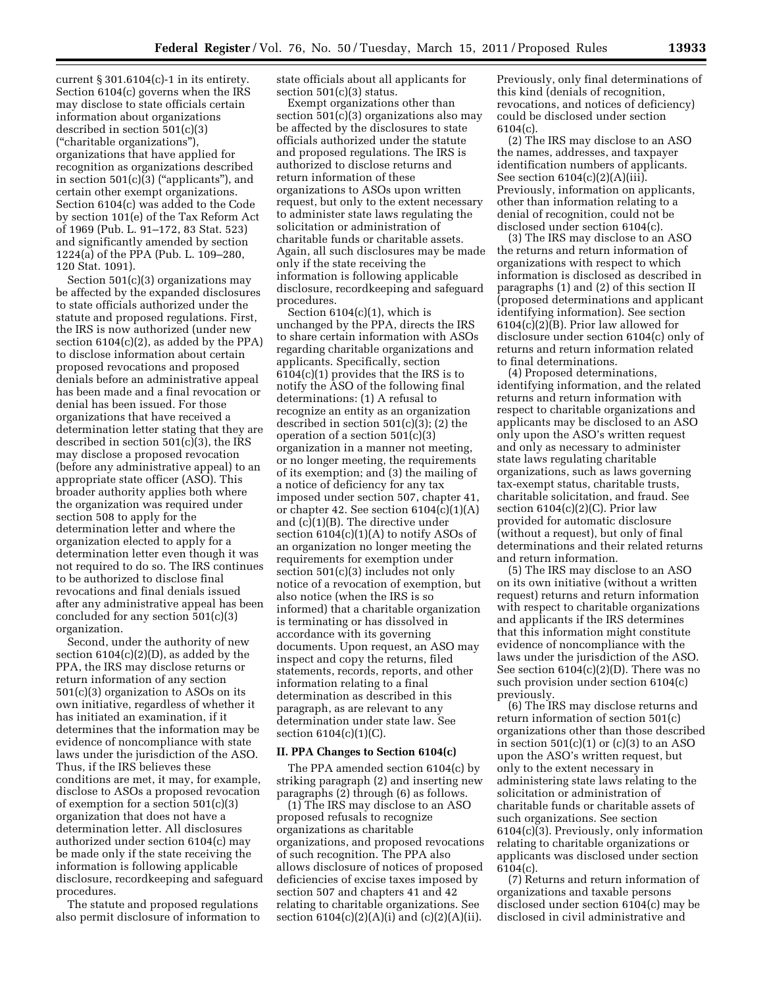current § 301.6104(c)-1 in its entirety. Section 6104(c) governs when the IRS may disclose to state officials certain information about organizations described in section 501(c)(3) (''charitable organizations''), organizations that have applied for recognition as organizations described in section  $501(c)(3)$  ("applicants"), and certain other exempt organizations. Section 6104(c) was added to the Code by section 101(e) of the Tax Reform Act of 1969 (Pub. L. 91–172, 83 Stat. 523) and significantly amended by section 1224(a) of the PPA (Pub. L. 109–280, 120 Stat. 1091).

Section 501(c)(3) organizations may be affected by the expanded disclosures to state officials authorized under the statute and proposed regulations. First, the IRS is now authorized (under new section  $6104(c)(2)$ , as added by the PPA) to disclose information about certain proposed revocations and proposed denials before an administrative appeal has been made and a final revocation or denial has been issued. For those organizations that have received a determination letter stating that they are described in section 501(c)(3), the IRS may disclose a proposed revocation (before any administrative appeal) to an appropriate state officer (ASO). This broader authority applies both where the organization was required under section 508 to apply for the determination letter and where the organization elected to apply for a determination letter even though it was not required to do so. The IRS continues to be authorized to disclose final revocations and final denials issued after any administrative appeal has been concluded for any section 501(c)(3) organization.

Second, under the authority of new section  $6104(c)(2)(D)$ , as added by the PPA, the IRS may disclose returns or return information of any section 501(c)(3) organization to ASOs on its own initiative, regardless of whether it has initiated an examination, if it determines that the information may be evidence of noncompliance with state laws under the jurisdiction of the ASO. Thus, if the IRS believes these conditions are met, it may, for example, disclose to ASOs a proposed revocation of exemption for a section 501(c)(3) organization that does not have a determination letter. All disclosures authorized under section 6104(c) may be made only if the state receiving the information is following applicable disclosure, recordkeeping and safeguard procedures.

The statute and proposed regulations also permit disclosure of information to state officials about all applicants for section 501(c)(3) status.

Exempt organizations other than section 501(c)(3) organizations also may be affected by the disclosures to state officials authorized under the statute and proposed regulations. The IRS is authorized to disclose returns and return information of these organizations to ASOs upon written request, but only to the extent necessary to administer state laws regulating the solicitation or administration of charitable funds or charitable assets. Again, all such disclosures may be made only if the state receiving the information is following applicable disclosure, recordkeeping and safeguard procedures.

Section  $6104(c)(1)$ , which is unchanged by the PPA, directs the IRS to share certain information with ASOs regarding charitable organizations and applicants. Specifically, section 6104(c)(1) provides that the IRS is to notify the ASO of the following final determinations: (1) A refusal to recognize an entity as an organization described in section  $501(c)(3)$ ; (2) the operation of a section 501(c)(3) organization in a manner not meeting, or no longer meeting, the requirements of its exemption; and (3) the mailing of a notice of deficiency for any tax imposed under section 507, chapter 41, or chapter 42. See section  $6104(c)(1)(A)$ and (c)(1)(B). The directive under section  $6104(c)(1)(A)$  to notify ASOs of an organization no longer meeting the requirements for exemption under section 501(c)(3) includes not only notice of a revocation of exemption, but also notice (when the IRS is so informed) that a charitable organization is terminating or has dissolved in accordance with its governing documents. Upon request, an ASO may inspect and copy the returns, filed statements, records, reports, and other information relating to a final determination as described in this paragraph, as are relevant to any determination under state law. See section 6104(c)(1)(C).

## **II. PPA Changes to Section 6104(c)**

The PPA amended section 6104(c) by striking paragraph (2) and inserting new paragraphs (2) through (6) as follows.

(1) The IRS may disclose to an ASO proposed refusals to recognize organizations as charitable organizations, and proposed revocations of such recognition. The PPA also allows disclosure of notices of proposed deficiencies of excise taxes imposed by section 507 and chapters 41 and 42 relating to charitable organizations. See section  $6104(c)(2)(A)(i)$  and  $(c)(2)(A)(ii)$ .

Previously, only final determinations of this kind (denials of recognition, revocations, and notices of deficiency) could be disclosed under section 6104(c).

(2) The IRS may disclose to an ASO the names, addresses, and taxpayer identification numbers of applicants. See section  $6104(c)(2)(A)(iii)$ . Previously, information on applicants, other than information relating to a denial of recognition, could not be disclosed under section 6104(c).

(3) The IRS may disclose to an ASO the returns and return information of organizations with respect to which information is disclosed as described in paragraphs (1) and (2) of this section II (proposed determinations and applicant identifying information). See section 6104(c)(2)(B). Prior law allowed for disclosure under section 6104(c) only of returns and return information related to final determinations.

(4) Proposed determinations, identifying information, and the related returns and return information with respect to charitable organizations and applicants may be disclosed to an ASO only upon the ASO's written request and only as necessary to administer state laws regulating charitable organizations, such as laws governing tax-exempt status, charitable trusts, charitable solicitation, and fraud. See section  $6104(c)(2)(C)$ . Prior law provided for automatic disclosure (without a request), but only of final determinations and their related returns and return information.

(5) The IRS may disclose to an ASO on its own initiative (without a written request) returns and return information with respect to charitable organizations and applicants if the IRS determines that this information might constitute evidence of noncompliance with the laws under the jurisdiction of the ASO. See section 6104(c)(2)(D). There was no such provision under section 6104(c) previously.

(6) The IRS may disclose returns and return information of section 501(c) organizations other than those described in section  $501(c)(1)$  or  $(c)(3)$  to an ASO upon the ASO's written request, but only to the extent necessary in administering state laws relating to the solicitation or administration of charitable funds or charitable assets of such organizations. See section 6104(c)(3). Previously, only information relating to charitable organizations or applicants was disclosed under section 6104(c).

(7) Returns and return information of organizations and taxable persons disclosed under section 6104(c) may be disclosed in civil administrative and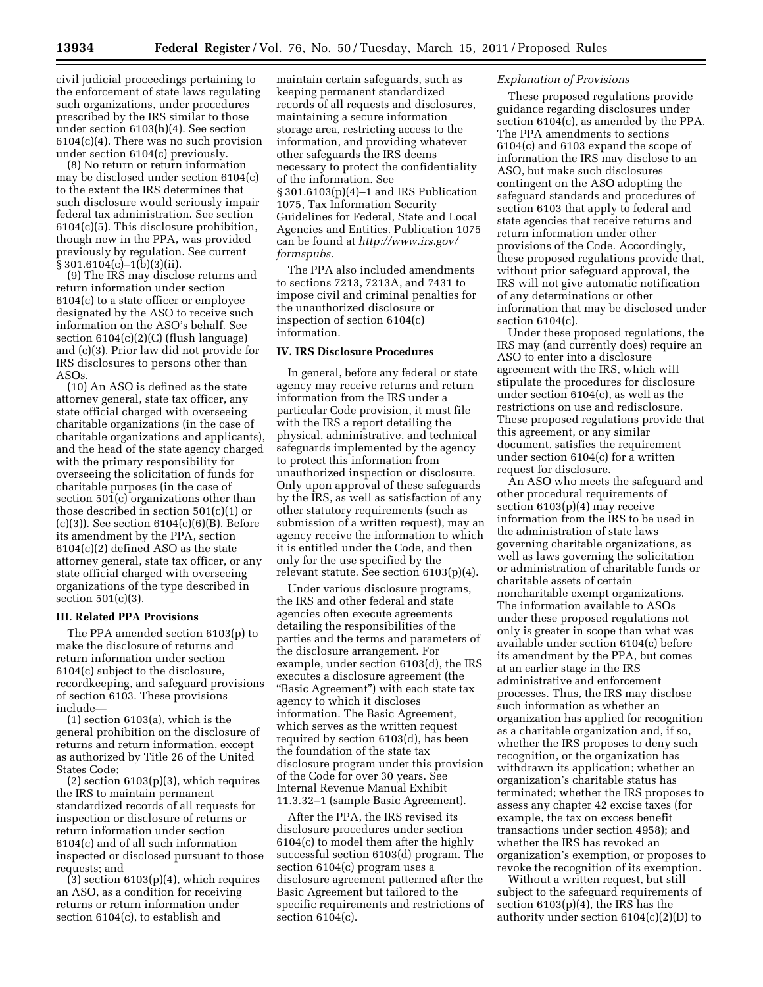civil judicial proceedings pertaining to the enforcement of state laws regulating such organizations, under procedures prescribed by the IRS similar to those under section 6103(h)(4). See section 6104(c)(4). There was no such provision under section 6104(c) previously.

(8) No return or return information may be disclosed under section 6104(c) to the extent the IRS determines that such disclosure would seriously impair federal tax administration. See section 6104(c)(5). This disclosure prohibition, though new in the PPA, was provided previously by regulation. See current § 301.6104(c)–1(b)(3)(ii).

(9) The IRS may disclose returns and return information under section 6104(c) to a state officer or employee designated by the ASO to receive such information on the ASO's behalf. See section 6104(c)(2)(C) (flush language) and (c)(3). Prior law did not provide for IRS disclosures to persons other than ASOs.

(10) An ASO is defined as the state attorney general, state tax officer, any state official charged with overseeing charitable organizations (in the case of charitable organizations and applicants), and the head of the state agency charged with the primary responsibility for overseeing the solicitation of funds for charitable purposes (in the case of section 501(c) organizations other than those described in section 501(c)(1) or  $(c)(3)$ ). See section  $6104(c)(6)(B)$ . Before its amendment by the PPA, section 6104(c)(2) defined ASO as the state attorney general, state tax officer, or any state official charged with overseeing organizations of the type described in section 501(c)(3).

#### **III. Related PPA Provisions**

The PPA amended section 6103(p) to make the disclosure of returns and return information under section 6104(c) subject to the disclosure, recordkeeping, and safeguard provisions of section 6103. These provisions include—

(1) section 6103(a), which is the general prohibition on the disclosure of returns and return information, except as authorized by Title 26 of the United States Code;

(2) section 6103(p)(3), which requires the IRS to maintain permanent standardized records of all requests for inspection or disclosure of returns or return information under section 6104(c) and of all such information inspected or disclosed pursuant to those requests; and

 $(3)$  section 6103 $(p)(4)$ , which requires an ASO, as a condition for receiving returns or return information under section 6104(c), to establish and

maintain certain safeguards, such as keeping permanent standardized records of all requests and disclosures, maintaining a secure information storage area, restricting access to the information, and providing whatever other safeguards the IRS deems necessary to protect the confidentiality of the information. See § 301.6103(p)(4)–1 and IRS Publication 1075, Tax Information Security Guidelines for Federal, State and Local Agencies and Entities. Publication 1075 can be found at *[http://www.irs.gov/](http://www.irs.gov/formspubs)  [formspubs.](http://www.irs.gov/formspubs)* 

The PPA also included amendments to sections 7213, 7213A, and 7431 to impose civil and criminal penalties for the unauthorized disclosure or inspection of section 6104(c) information.

#### **IV. IRS Disclosure Procedures**

In general, before any federal or state agency may receive returns and return information from the IRS under a particular Code provision, it must file with the IRS a report detailing the physical, administrative, and technical safeguards implemented by the agency to protect this information from unauthorized inspection or disclosure. Only upon approval of these safeguards by the IRS, as well as satisfaction of any other statutory requirements (such as submission of a written request), may an agency receive the information to which it is entitled under the Code, and then only for the use specified by the relevant statute. See section 6103(p)(4).

Under various disclosure programs, the IRS and other federal and state agencies often execute agreements detailing the responsibilities of the parties and the terms and parameters of the disclosure arrangement. For example, under section 6103(d), the IRS executes a disclosure agreement (the ''Basic Agreement'') with each state tax agency to which it discloses information. The Basic Agreement, which serves as the written request required by section 6103(d), has been the foundation of the state tax disclosure program under this provision of the Code for over 30 years. See Internal Revenue Manual Exhibit 11.3.32–1 (sample Basic Agreement).

After the PPA, the IRS revised its disclosure procedures under section 6104(c) to model them after the highly successful section 6103(d) program. The section 6104(c) program uses a disclosure agreement patterned after the Basic Agreement but tailored to the specific requirements and restrictions of section 6104(c).

## *Explanation of Provisions*

These proposed regulations provide guidance regarding disclosures under section 6104(c), as amended by the PPA. The PPA amendments to sections 6104(c) and 6103 expand the scope of information the IRS may disclose to an ASO, but make such disclosures contingent on the ASO adopting the safeguard standards and procedures of section 6103 that apply to federal and state agencies that receive returns and return information under other provisions of the Code. Accordingly, these proposed regulations provide that, without prior safeguard approval, the IRS will not give automatic notification of any determinations or other information that may be disclosed under section 6104(c).

Under these proposed regulations, the IRS may (and currently does) require an ASO to enter into a disclosure agreement with the IRS, which will stipulate the procedures for disclosure under section 6104(c), as well as the restrictions on use and redisclosure. These proposed regulations provide that this agreement, or any similar document, satisfies the requirement under section 6104(c) for a written request for disclosure.

An ASO who meets the safeguard and other procedural requirements of section 6103(p)(4) may receive information from the IRS to be used in the administration of state laws governing charitable organizations, as well as laws governing the solicitation or administration of charitable funds or charitable assets of certain noncharitable exempt organizations. The information available to ASOs under these proposed regulations not only is greater in scope than what was available under section 6104(c) before its amendment by the PPA, but comes at an earlier stage in the IRS administrative and enforcement processes. Thus, the IRS may disclose such information as whether an organization has applied for recognition as a charitable organization and, if so, whether the IRS proposes to deny such recognition, or the organization has withdrawn its application; whether an organization's charitable status has terminated; whether the IRS proposes to assess any chapter 42 excise taxes (for example, the tax on excess benefit transactions under section 4958); and whether the IRS has revoked an organization's exemption, or proposes to revoke the recognition of its exemption.

Without a written request, but still subject to the safeguard requirements of section 6103(p)(4), the IRS has the authority under section 6104(c)(2)(D) to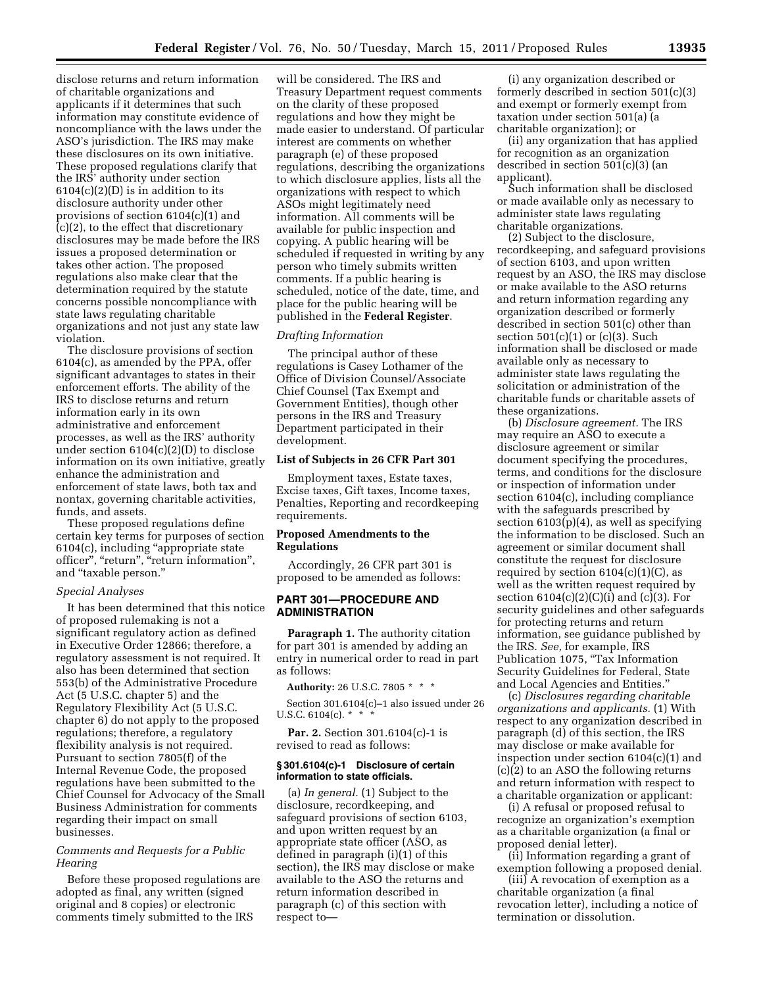disclose returns and return information of charitable organizations and applicants if it determines that such information may constitute evidence of noncompliance with the laws under the ASO's jurisdiction. The IRS may make these disclosures on its own initiative. These proposed regulations clarify that the IRS' authority under section  $6104(c)(2)(D)$  is in addition to its disclosure authority under other provisions of section 6104(c)(1) and (c)(2), to the effect that discretionary disclosures may be made before the IRS issues a proposed determination or takes other action. The proposed regulations also make clear that the determination required by the statute concerns possible noncompliance with state laws regulating charitable organizations and not just any state law violation.

The disclosure provisions of section 6104(c), as amended by the PPA, offer significant advantages to states in their enforcement efforts. The ability of the IRS to disclose returns and return information early in its own administrative and enforcement processes, as well as the IRS' authority under section 6104(c)(2)(D) to disclose information on its own initiative, greatly enhance the administration and enforcement of state laws, both tax and nontax, governing charitable activities, funds, and assets.

These proposed regulations define certain key terms for purposes of section 6104(c), including ''appropriate state officer", "return", "return information", and ''taxable person.''

#### *Special Analyses*

It has been determined that this notice of proposed rulemaking is not a significant regulatory action as defined in Executive Order 12866; therefore, a regulatory assessment is not required. It also has been determined that section 553(b) of the Administrative Procedure Act (5 U.S.C. chapter 5) and the Regulatory Flexibility Act (5 U.S.C. chapter 6) do not apply to the proposed regulations; therefore, a regulatory flexibility analysis is not required. Pursuant to section 7805(f) of the Internal Revenue Code, the proposed regulations have been submitted to the Chief Counsel for Advocacy of the Small Business Administration for comments regarding their impact on small businesses.

## *Comments and Requests for a Public Hearing*

Before these proposed regulations are adopted as final, any written (signed original and 8 copies) or electronic comments timely submitted to the IRS

will be considered. The IRS and Treasury Department request comments on the clarity of these proposed regulations and how they might be made easier to understand. Of particular interest are comments on whether paragraph (e) of these proposed regulations, describing the organizations to which disclosure applies, lists all the organizations with respect to which ASOs might legitimately need information. All comments will be available for public inspection and copying. A public hearing will be scheduled if requested in writing by any person who timely submits written comments. If a public hearing is scheduled, notice of the date, time, and place for the public hearing will be published in the **Federal Register**.

## *Drafting Information*

The principal author of these regulations is Casey Lothamer of the Office of Division Counsel/Associate Chief Counsel (Tax Exempt and Government Entities), though other persons in the IRS and Treasury Department participated in their development.

### **List of Subjects in 26 CFR Part 301**

Employment taxes, Estate taxes, Excise taxes, Gift taxes, Income taxes, Penalties, Reporting and recordkeeping requirements.

## **Proposed Amendments to the Regulations**

Accordingly, 26 CFR part 301 is proposed to be amended as follows:

## **PART 301—PROCEDURE AND ADMINISTRATION**

**Paragraph 1.** The authority citation for part 301 is amended by adding an entry in numerical order to read in part as follows:

**Authority:** 26 U.S.C. 7805 \* \* \*

Section 301.6104(c)–1 also issued under 26 U.S.C. 6104(c).  $*$   $*$   $*$ 

**Par. 2.** Section 301.6104(c)-1 is revised to read as follows:

#### **§ 301.6104(c)-1 Disclosure of certain information to state officials.**

(a) *In general.* (1) Subject to the disclosure, recordkeeping, and safeguard provisions of section 6103, and upon written request by an appropriate state officer (ASO, as defined in paragraph (i)(1) of this section), the IRS may disclose or make available to the ASO the returns and return information described in paragraph (c) of this section with respect to—

(i) any organization described or formerly described in section 501(c)(3) and exempt or formerly exempt from taxation under section 501(a) (a charitable organization); or

(ii) any organization that has applied for recognition as an organization described in section 501(c)(3) (an applicant).

Such information shall be disclosed or made available only as necessary to administer state laws regulating charitable organizations.

(2) Subject to the disclosure, recordkeeping, and safeguard provisions of section 6103, and upon written request by an ASO, the IRS may disclose or make available to the ASO returns and return information regarding any organization described or formerly described in section 501(c) other than section  $501(c)(1)$  or  $(c)(3)$ . Such information shall be disclosed or made available only as necessary to administer state laws regulating the solicitation or administration of the charitable funds or charitable assets of these organizations.

(b) *Disclosure agreement.* The IRS may require an ASO to execute a disclosure agreement or similar document specifying the procedures, terms, and conditions for the disclosure or inspection of information under section 6104(c), including compliance with the safeguards prescribed by section 6103(p)(4), as well as specifying the information to be disclosed. Such an agreement or similar document shall constitute the request for disclosure required by section  $6104(c)(1)(C)$ , as well as the written request required by section  $6104(c)(2)(C)(i)$  and  $(c)(3)$ . For security guidelines and other safeguards for protecting returns and return information, see guidance published by the IRS. *See,* for example, IRS Publication 1075, "Tax Information Security Guidelines for Federal, State and Local Agencies and Entities.''

(c) *Disclosures regarding charitable organizations and applicants.* (1) With respect to any organization described in paragraph (d) of this section, the IRS may disclose or make available for inspection under section 6104(c)(1) and (c)(2) to an ASO the following returns and return information with respect to a charitable organization or applicant:

(i) A refusal or proposed refusal to recognize an organization's exemption as a charitable organization (a final or proposed denial letter).

(ii) Information regarding a grant of exemption following a proposed denial.

(iii) A revocation of exemption as a charitable organization (a final revocation letter), including a notice of termination or dissolution.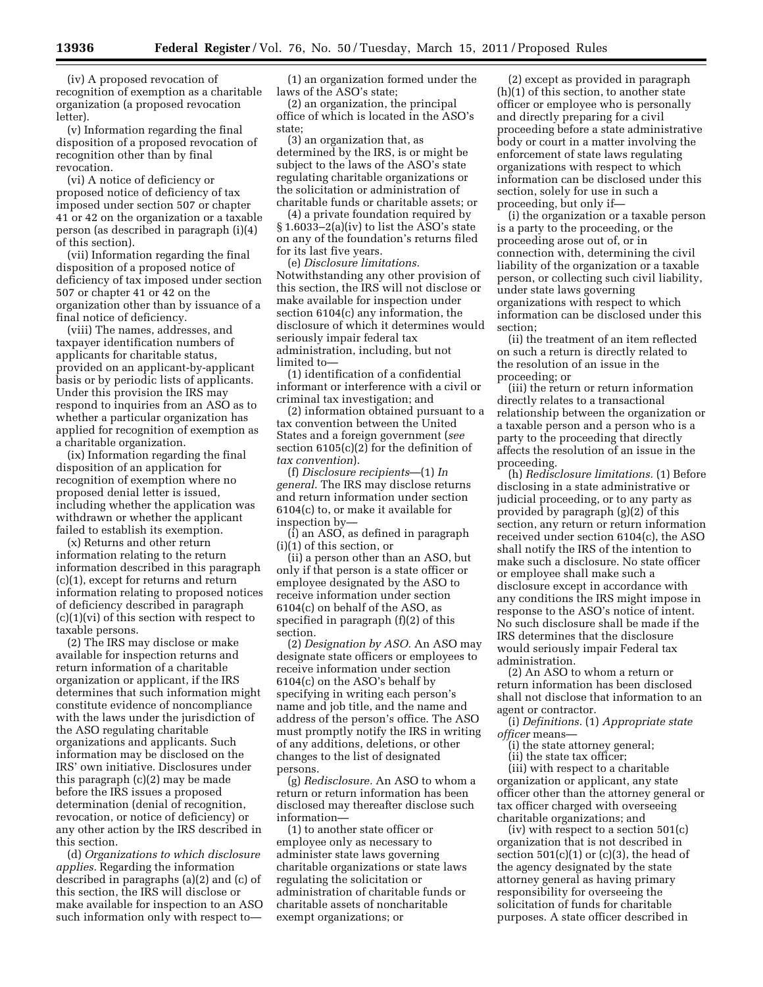(iv) A proposed revocation of recognition of exemption as a charitable organization (a proposed revocation letter).

(v) Information regarding the final disposition of a proposed revocation of recognition other than by final revocation.

(vi) A notice of deficiency or proposed notice of deficiency of tax imposed under section 507 or chapter 41 or 42 on the organization or a taxable person (as described in paragraph (i)(4) of this section).

(vii) Information regarding the final disposition of a proposed notice of deficiency of tax imposed under section 507 or chapter 41 or 42 on the organization other than by issuance of a final notice of deficiency.

(viii) The names, addresses, and taxpayer identification numbers of applicants for charitable status, provided on an applicant-by-applicant basis or by periodic lists of applicants. Under this provision the IRS may respond to inquiries from an ASO as to whether a particular organization has applied for recognition of exemption as a charitable organization.

(ix) Information regarding the final disposition of an application for recognition of exemption where no proposed denial letter is issued, including whether the application was withdrawn or whether the applicant failed to establish its exemption.

(x) Returns and other return information relating to the return information described in this paragraph (c)(1), except for returns and return information relating to proposed notices of deficiency described in paragraph (c)(1)(vi) of this section with respect to taxable persons.

(2) The IRS may disclose or make available for inspection returns and return information of a charitable organization or applicant, if the IRS determines that such information might constitute evidence of noncompliance with the laws under the jurisdiction of the ASO regulating charitable organizations and applicants. Such information may be disclosed on the IRS' own initiative. Disclosures under this paragraph (c)(2) may be made before the IRS issues a proposed determination (denial of recognition, revocation, or notice of deficiency) or any other action by the IRS described in this section.

(d) *Organizations to which disclosure applies.* Regarding the information described in paragraphs (a)(2) and (c) of this section, the IRS will disclose or make available for inspection to an ASO such information only with respect to—

(1) an organization formed under the laws of the ASO's state;

(2) an organization, the principal office of which is located in the ASO's state;

(3) an organization that, as determined by the IRS, is or might be subject to the laws of the ASO's state regulating charitable organizations or the solicitation or administration of charitable funds or charitable assets; or

(4) a private foundation required by § 1.6033–2(a)(iv) to list the ASO's state on any of the foundation's returns filed for its last five years.

(e) *Disclosure limitations.*  Notwithstanding any other provision of this section, the IRS will not disclose or make available for inspection under section 6104(c) any information, the disclosure of which it determines would seriously impair federal tax administration, including, but not limited to—

(1) identification of a confidential informant or interference with a civil or criminal tax investigation; and

(2) information obtained pursuant to a tax convention between the United States and a foreign government (*see*  section 6105(c)(2) for the definition of *tax convention*).

(f) *Disclosure recipients*—(1) *In general.* The IRS may disclose returns and return information under section 6104(c) to, or make it available for inspection by—

(i) an ASO, as defined in paragraph (i)(1) of this section, or

(ii) a person other than an ASO, but only if that person is a state officer or employee designated by the ASO to receive information under section 6104(c) on behalf of the ASO, as specified in paragraph (f)(2) of this section.

(2) *Designation by ASO.* An ASO may designate state officers or employees to receive information under section 6104(c) on the ASO's behalf by specifying in writing each person's name and job title, and the name and address of the person's office. The ASO must promptly notify the IRS in writing of any additions, deletions, or other changes to the list of designated persons.

(g) *Redisclosure.* An ASO to whom a return or return information has been disclosed may thereafter disclose such information—

(1) to another state officer or employee only as necessary to administer state laws governing charitable organizations or state laws regulating the solicitation or administration of charitable funds or charitable assets of noncharitable exempt organizations; or

(2) except as provided in paragraph (h)(1) of this section, to another state officer or employee who is personally and directly preparing for a civil proceeding before a state administrative body or court in a matter involving the enforcement of state laws regulating organizations with respect to which information can be disclosed under this section, solely for use in such a proceeding, but only if—

(i) the organization or a taxable person is a party to the proceeding, or the proceeding arose out of, or in connection with, determining the civil liability of the organization or a taxable person, or collecting such civil liability, under state laws governing organizations with respect to which information can be disclosed under this section;

(ii) the treatment of an item reflected on such a return is directly related to the resolution of an issue in the proceeding; or

(iii) the return or return information directly relates to a transactional relationship between the organization or a taxable person and a person who is a party to the proceeding that directly affects the resolution of an issue in the proceeding.

(h) *Redisclosure limitations.* (1) Before disclosing in a state administrative or judicial proceeding, or to any party as provided by paragraph (g)(2) of this section, any return or return information received under section 6104(c), the ASO shall notify the IRS of the intention to make such a disclosure. No state officer or employee shall make such a disclosure except in accordance with any conditions the IRS might impose in response to the ASO's notice of intent. No such disclosure shall be made if the IRS determines that the disclosure would seriously impair Federal tax administration.

(2) An ASO to whom a return or return information has been disclosed shall not disclose that information to an agent or contractor.

(i) *Definitions.* (1) *Appropriate state officer* means—

(i) the state attorney general;

(ii) the state tax officer; (iii) with respect to a charitable organization or applicant, any state officer other than the attorney general or tax officer charged with overseeing charitable organizations; and

(iv) with respect to a section 501(c) organization that is not described in section  $501(c)(1)$  or  $(c)(3)$ , the head of the agency designated by the state attorney general as having primary responsibility for overseeing the solicitation of funds for charitable purposes. A state officer described in